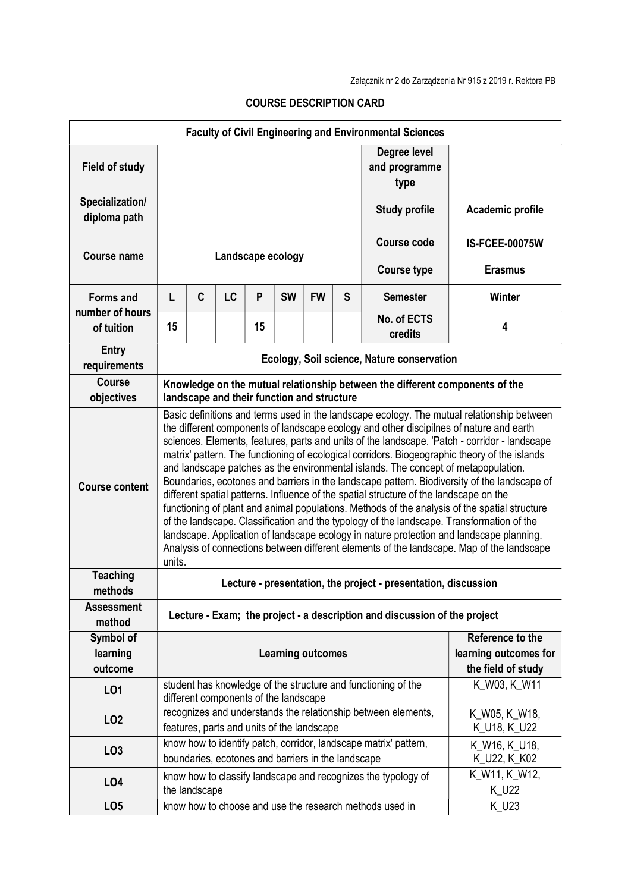| <b>Faculty of Civil Engineering and Environmental Sciences</b> |                                                                                                                                                                                                                                                                                                                                                                                                                                                                                                                                                                                                                                                                                                                                                                                                                                                                                                                                                                                                                                                                          |                                                                                                             |    |              |           |                                                                 |                                       |                                                                  |                               |
|----------------------------------------------------------------|--------------------------------------------------------------------------------------------------------------------------------------------------------------------------------------------------------------------------------------------------------------------------------------------------------------------------------------------------------------------------------------------------------------------------------------------------------------------------------------------------------------------------------------------------------------------------------------------------------------------------------------------------------------------------------------------------------------------------------------------------------------------------------------------------------------------------------------------------------------------------------------------------------------------------------------------------------------------------------------------------------------------------------------------------------------------------|-------------------------------------------------------------------------------------------------------------|----|--------------|-----------|-----------------------------------------------------------------|---------------------------------------|------------------------------------------------------------------|-------------------------------|
| <b>Field of study</b>                                          |                                                                                                                                                                                                                                                                                                                                                                                                                                                                                                                                                                                                                                                                                                                                                                                                                                                                                                                                                                                                                                                                          |                                                                                                             |    |              |           |                                                                 | Degree level<br>and programme<br>type |                                                                  |                               |
| Specialization/<br>diploma path                                |                                                                                                                                                                                                                                                                                                                                                                                                                                                                                                                                                                                                                                                                                                                                                                                                                                                                                                                                                                                                                                                                          |                                                                                                             |    |              |           |                                                                 |                                       | <b>Study profile</b>                                             | Academic profile              |
| Course name                                                    | Landscape ecology                                                                                                                                                                                                                                                                                                                                                                                                                                                                                                                                                                                                                                                                                                                                                                                                                                                                                                                                                                                                                                                        |                                                                                                             |    |              |           |                                                                 |                                       | <b>Course code</b>                                               | <b>IS-FCEE-00075W</b>         |
|                                                                |                                                                                                                                                                                                                                                                                                                                                                                                                                                                                                                                                                                                                                                                                                                                                                                                                                                                                                                                                                                                                                                                          |                                                                                                             |    |              |           |                                                                 |                                       | <b>Course type</b>                                               | <b>Erasmus</b>                |
| <b>Forms and</b>                                               | L                                                                                                                                                                                                                                                                                                                                                                                                                                                                                                                                                                                                                                                                                                                                                                                                                                                                                                                                                                                                                                                                        | C                                                                                                           | LC | P            | <b>SW</b> | <b>FW</b>                                                       | S                                     | <b>Semester</b>                                                  | <b>Winter</b>                 |
| number of hours<br>of tuition                                  | 15                                                                                                                                                                                                                                                                                                                                                                                                                                                                                                                                                                                                                                                                                                                                                                                                                                                                                                                                                                                                                                                                       |                                                                                                             |    | 15           |           |                                                                 |                                       | No. of ECTS<br>credits                                           | 4                             |
| <b>Entry</b><br>requirements                                   | Ecology, Soil science, Nature conservation                                                                                                                                                                                                                                                                                                                                                                                                                                                                                                                                                                                                                                                                                                                                                                                                                                                                                                                                                                                                                               |                                                                                                             |    |              |           |                                                                 |                                       |                                                                  |                               |
| <b>Course</b><br>objectives                                    | Knowledge on the mutual relationship between the different components of the<br>landscape and their function and structure                                                                                                                                                                                                                                                                                                                                                                                                                                                                                                                                                                                                                                                                                                                                                                                                                                                                                                                                               |                                                                                                             |    |              |           |                                                                 |                                       |                                                                  |                               |
| <b>Course content</b>                                          | Basic definitions and terms used in the landscape ecology. The mutual relationship between<br>the different components of landscape ecology and other discipilnes of nature and earth<br>sciences. Elements, features, parts and units of the landscape. 'Patch - corridor - landscape<br>matrix' pattern. The functioning of ecological corridors. Biogeographic theory of the islands<br>and landscape patches as the environmental islands. The concept of metapopulation.<br>Boundaries, ecotones and barriers in the landscape pattern. Biodiversity of the landscape of<br>different spatial patterns. Influence of the spatial structure of the landscape on the<br>functioning of plant and animal populations. Methods of the analysis of the spatial structure<br>of the landscape. Classification and the typology of the landscape. Transformation of the<br>landscape. Application of landscape ecology in nature protection and landscape planning.<br>Analysis of connections between different elements of the landscape. Map of the landscape<br>units. |                                                                                                             |    |              |           |                                                                 |                                       |                                                                  |                               |
| <b>Teaching</b><br>methods                                     | Lecture - presentation, the project - presentation, discussion                                                                                                                                                                                                                                                                                                                                                                                                                                                                                                                                                                                                                                                                                                                                                                                                                                                                                                                                                                                                           |                                                                                                             |    |              |           |                                                                 |                                       |                                                                  |                               |
| <b>Assessment</b><br>method                                    | Lecture - Exam; the project - a description and discussion of the project                                                                                                                                                                                                                                                                                                                                                                                                                                                                                                                                                                                                                                                                                                                                                                                                                                                                                                                                                                                                |                                                                                                             |    |              |           |                                                                 |                                       |                                                                  |                               |
| Symbol of<br>learning<br>outcome                               | <b>Learning outcomes</b>                                                                                                                                                                                                                                                                                                                                                                                                                                                                                                                                                                                                                                                                                                                                                                                                                                                                                                                                                                                                                                                 |                                                                                                             |    |              |           | Reference to the<br>learning outcomes for<br>the field of study |                                       |                                                                  |                               |
| LO1                                                            | student has knowledge of the structure and functioning of the<br>different components of the landscape                                                                                                                                                                                                                                                                                                                                                                                                                                                                                                                                                                                                                                                                                                                                                                                                                                                                                                                                                                   |                                                                                                             |    | K W03, K W11 |           |                                                                 |                                       |                                                                  |                               |
| LO <sub>2</sub>                                                |                                                                                                                                                                                                                                                                                                                                                                                                                                                                                                                                                                                                                                                                                                                                                                                                                                                                                                                                                                                                                                                                          | recognizes and understands the relationship between elements,<br>features, parts and units of the landscape |    |              |           |                                                                 |                                       | K_W05, K_W18,<br>K_U18, K_U22                                    |                               |
| LO <sub>3</sub>                                                |                                                                                                                                                                                                                                                                                                                                                                                                                                                                                                                                                                                                                                                                                                                                                                                                                                                                                                                                                                                                                                                                          |                                                                                                             |    |              |           | boundaries, ecotones and barriers in the landscape              |                                       | know how to identify patch, corridor, landscape matrix' pattern, | K_W16, K_U18,<br>K_U22, K_K02 |
| LO4                                                            |                                                                                                                                                                                                                                                                                                                                                                                                                                                                                                                                                                                                                                                                                                                                                                                                                                                                                                                                                                                                                                                                          | the landscape                                                                                               |    |              |           |                                                                 |                                       | know how to classify landscape and recognizes the typology of    | K_W11, K_W12,<br>K_U22        |
| LO <sub>5</sub>                                                |                                                                                                                                                                                                                                                                                                                                                                                                                                                                                                                                                                                                                                                                                                                                                                                                                                                                                                                                                                                                                                                                          |                                                                                                             |    |              |           |                                                                 |                                       | know how to choose and use the research methods used in          | K_U23                         |

## COURSE DESCRIPTION CARD